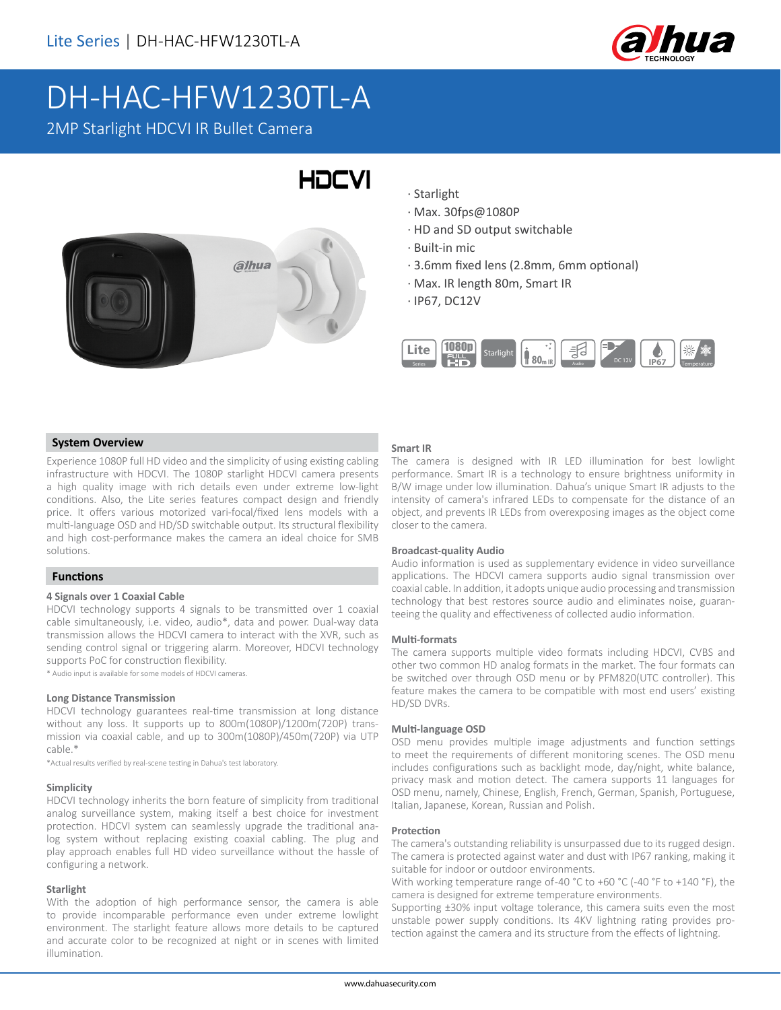

# DH-HAC-HFW1230TL-A

2MP Starlight HDCVI IR Bullet Camera



· Starlight

HOCVI

- · Max. 30fps@1080P
- · HD and SD output switchable
- · Built-in mic
- · 3.6mm fixed lens (2.8mm, 6mm optional)
- · Max. IR length 80m, Smart IR
- · IP67, DC12V



# **System Overview**

Experience 1080P full HD video and the simplicity of using existing cabling infrastructure with HDCVI. The 1080P starlight HDCVI camera presents a high quality image with rich details even under extreme low-light conditions. Also, the Lite series features compact design and friendly price. It offers various motorized vari-focal/fixed lens models with a multi-language OSD and HD/SD switchable output. Its structural flexibility and high cost-performance makes the camera an ideal choice for SMB solutions.

### **Functions**

#### **4 Signals over 1 Coaxial Cable**

HDCVI technology supports 4 signals to be transmitted over 1 coaxial cable simultaneously, i.e. video, audio\*, data and power. Dual-way data transmission allows the HDCVI camera to interact with the XVR, such as sending control signal or triggering alarm. Moreover, HDCVI technology supports PoC for construction flexibility.

\* Audio input is available for some models of HDCVI cameras.

#### **Long Distance Transmission**

HDCVI technology guarantees real-time transmission at long distance without any loss. It supports up to 800m(1080P)/1200m(720P) transmission via coaxial cable, and up to 300m(1080P)/450m(720P) via UTP cable.\*

\*Actual results verified by real-scene testing in Dahua's test laboratory.

#### **Simplicity**

HDCVI technology inherits the born feature of simplicity from traditional analog surveillance system, making itself a best choice for investment protection. HDCVI system can seamlessly upgrade the traditional analog system without replacing existing coaxial cabling. The plug and play approach enables full HD video surveillance without the hassle of configuring a network.

# **Starlight**

With the adoption of high performance sensor, the camera is able to provide incomparable performance even under extreme lowlight environment. The starlight feature allows more details to be captured and accurate color to be recognized at night or in scenes with limited illumination.

#### **Smart IR**

The camera is designed with IR LED illumination for best lowlight performance. Smart IR is a technology to ensure brightness uniformity in B/W image under low illumination. Dahua's unique Smart IR adjusts to the intensity of camera's infrared LEDs to compensate for the distance of an object, and prevents IR LEDs from overexposing images as the object come closer to the camera.

#### **Broadcast-quality Audio**

Audio information is used as supplementary evidence in video surveillance applications. The HDCVI camera supports audio signal transmission over coaxial cable. In addition, it adopts unique audio processing and transmission technology that best restores source audio and eliminates noise, guaranteeing the quality and effectiveness of collected audio information.

#### **Multi-formats**

The camera supports multiple video formats including HDCVI, CVBS and other two common HD analog formats in the market. The four formats can be switched over through OSD menu or by PFM820(UTC controller). This feature makes the camera to be compatible with most end users' existing HD/SD DVRs.

#### **Multi-language OSD**

OSD menu provides multiple image adjustments and function settings to meet the requirements of different monitoring scenes. The OSD menu includes configurations such as backlight mode, day/night, white balance, privacy mask and motion detect. The camera supports 11 languages for OSD menu, namely, Chinese, English, French, German, Spanish, Portuguese, Italian, Japanese, Korean, Russian and Polish.

#### **Protection**

The camera's outstanding reliability is unsurpassed due to its rugged design. The camera is protected against water and dust with IP67 ranking, making it suitable for indoor or outdoor environments.

With working temperature range of-40 °C to +60 °C (-40 °F to +140 °F), the camera is designed for extreme temperature environments.

Supporting ±30% input voltage tolerance, this camera suits even the most unstable power supply conditions. Its 4KV lightning rating provides protection against the camera and its structure from the effects of lightning.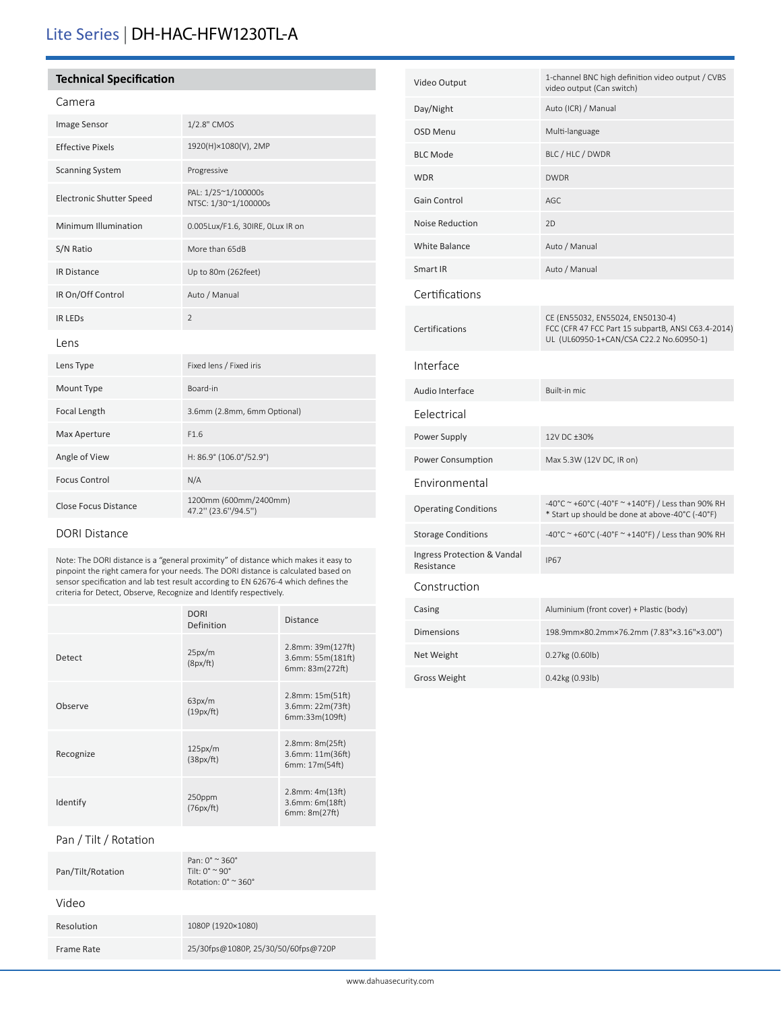# Lite Series | DH-HAC-HFW1230TL-A

# **Technical Specification**

# Camera

| <b>Image Sensor</b>             | 1/2.8" CMOS                                  |
|---------------------------------|----------------------------------------------|
| <b>Effective Pixels</b>         | 1920(H)×1080(V), 2MP                         |
| <b>Scanning System</b>          | Progressive                                  |
| <b>Electronic Shutter Speed</b> | PAL: 1/25~1/100000s<br>NTSC: 1/30~1/100000s  |
| Minimum Illumination            | 0.005Lux/F1.6, 30IRE, OLux IR on             |
| S/N Ratio                       | More than 65dB                               |
| <b>IR Distance</b>              | Up to 80m (262feet)                          |
| IR On/Off Control               | Auto / Manual                                |
| <b>IR LEDS</b>                  | $\overline{2}$                               |
| Lens                            |                                              |
| Lens Type                       | Fixed lens / Fixed iris                      |
| Mount Type                      | Board-in                                     |
| Focal Length                    | 3.6mm (2.8mm, 6mm Optional)                  |
| Max Aperture                    | F1.6                                         |
| Angle of View                   | H: 86.9° (106.0°/52.9°)                      |
| <b>Focus Control</b>            | N/A                                          |
| <b>Close Focus Distance</b>     | 1200mm (600mm/2400mm)<br>47.2" (23.6"/94.5") |

# DORI Distance

Note: The DORI distance is a "general proximity" of distance which makes it easy to pinpoint the right camera for your needs. The DORI distance is calculated based on sensor specification and lab test result according to EN 62676-4 which defines the criteria for Detect, Observe, Recognize and Identify respectively.

|           | <b>DORI</b><br>Definition | <b>Distance</b>                                             |
|-----------|---------------------------|-------------------------------------------------------------|
| Detect    | 25px/m<br>(8px/ft)        | 2.8mm: 39m(127ft)<br>3.6mm: 55m(181ft)<br>6mm: 83m(272ft)   |
| Observe   | 63px/m<br>(19px/ft)       | $2.8$ mm: $15m(51ft)$<br>3.6mm: 22m(73ft)<br>6mm:33m(109ft) |
| Recognize | 125px/m<br>(38px/ft)      | $2.8$ mm: $8m(25ft)$<br>3.6mm: 11m(36ft)<br>6mm: 17m(54ft)  |
| Identify  | 250ppm<br>(76px/ft)       | 2.8mm: 4m(13ft)<br>3.6mm: 6m(18ft)<br>6mm: 8m(27ft)         |

## Pan / Tilt / Rotation

| Pan/Tilt/Rotation | Pan: $0^{\circ} \approx 360^{\circ}$<br>Tilt: $0^\circ \simeq 90^\circ$<br>Rotation: $0^\circ$ $\approx$ 360 $^\circ$ |
|-------------------|-----------------------------------------------------------------------------------------------------------------------|
| Video             |                                                                                                                       |
| Resolution        | 1080P (1920×1080)                                                                                                     |
| Frame Rate        | 25/30fps@1080P, 25/30/50/60fps@720P                                                                                   |
|                   |                                                                                                                       |

| Video Output                              | 1-channel BNC high definition video output / CVBS<br>video output (Can switch)                                                    |  |
|-------------------------------------------|-----------------------------------------------------------------------------------------------------------------------------------|--|
| Day/Night                                 | Auto (ICR) / Manual                                                                                                               |  |
| <b>OSD Menu</b>                           | Multi-language                                                                                                                    |  |
| <b>BLC Mode</b>                           | BLC / HLC / DWDR                                                                                                                  |  |
| <b>WDR</b>                                | <b>DWDR</b>                                                                                                                       |  |
| Gain Control                              | AGC                                                                                                                               |  |
| <b>Noise Reduction</b>                    | 2D                                                                                                                                |  |
| <b>White Balance</b>                      | Auto / Manual                                                                                                                     |  |
| Smart IR                                  | Auto / Manual                                                                                                                     |  |
| Certifications                            |                                                                                                                                   |  |
| Certifications                            | CE (EN55032, EN55024, EN50130-4)<br>FCC (CFR 47 FCC Part 15 subpartB, ANSI C63.4-2014)<br>UL (UL60950-1+CAN/CSA C22.2 No.60950-1) |  |
| Interface                                 |                                                                                                                                   |  |
| Audio Interface                           | Built-in mic                                                                                                                      |  |
| Eelectrical                               |                                                                                                                                   |  |
| Power Supply                              | 12V DC ±30%                                                                                                                       |  |
| Power Consumption                         | Max 5.3W (12V DC, IR on)                                                                                                          |  |
| Environmental                             |                                                                                                                                   |  |
| <b>Operating Conditions</b>               | -40°C ~ +60°C (-40°F ~ +140°F) / Less than 90% RH<br>* Start up should be done at above-40°C (-40°F)                              |  |
| <b>Storage Conditions</b>                 | -40°C ~ +60°C (-40°F ~ +140°F) / Less than 90% RH                                                                                 |  |
| Ingress Protection & Vandal<br>Resistance | <b>IP67</b>                                                                                                                       |  |
| Construction                              |                                                                                                                                   |  |
| Casing                                    | Aluminium (front cover) + Plastic (body)                                                                                          |  |
| <b>Dimensions</b>                         | 198.9mm×80.2mm×76.2mm (7.83"×3.16"×3.00")                                                                                         |  |
| Net Weight                                | 0.27kg (0.60lb)                                                                                                                   |  |
| <b>Gross Weight</b>                       | 0.42kg (0.93lb)                                                                                                                   |  |